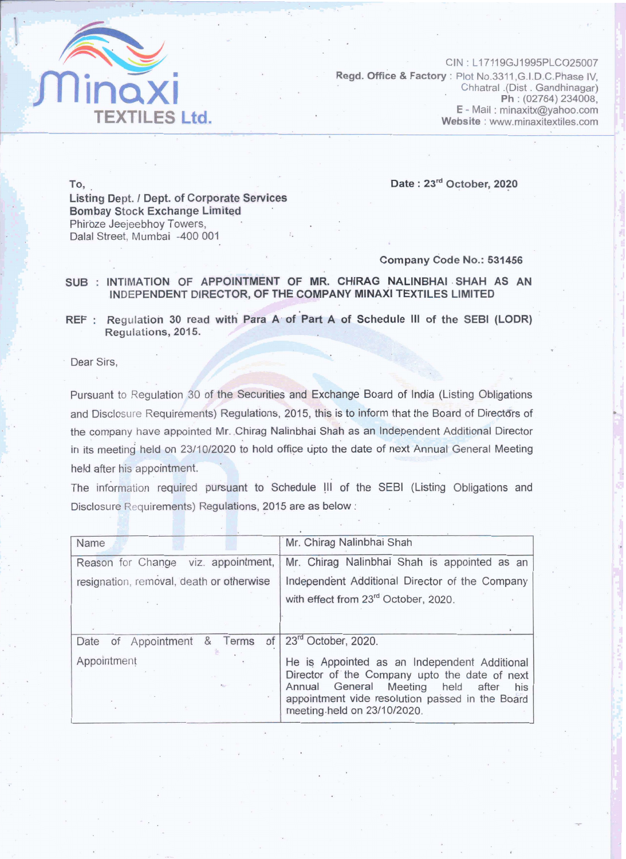

 $CIN: L17119GJ1995PLCO25007$ **Regd. Office & Factory** : Plot No.3311, G.I.D.C. Phase IV, Chhatral .(Dist. Gandhinagar) Ph: (02764) 234008, E - Mail: minaxitx@yahoo.com Website: www.minaxitextiles.com

**Date** : **23"' October, 2020** 

To, . **Listing Dept. / Dept. of Corporate Services Bombay Stock Exchange Limited** Phiroze Jeejeebhoy Towers, Dalal Street, Mumbai -400 **001** 

## Company **code** No.: 531456

## SUB : INTIMATION OF **APPOINTMENT** OF **MR.** CHIRAG NALINBHAI .SHAH AS AN INDEPENDENT DIRECTOR, OF THE COMPANY MINAXI TEXTILES LIMITED

REF : Regulation 30 read with Para A of Part A of Schedule III of the SEBI (LODR) Regulations, 2015.

Dear Sirs.

Pursuant to Regulation 30 of the Securities and Exchange Board of India (Listing Obligations and Disclosure Requirements) Regulations, 2015, this is to inform that the Board of Directors of the company have appointed Mr. Chirag Nalinbhai Shah as an Independent Additional Director in its meeting held on 23/10/2020 to hold office upto the date of next Annual General Meeting held after his appointment.

The information required pursuant to Schedule III of the SEBI (Listing Obligations and Disclosure Requirements) Regulations, 2015 are as below :

| Name                                          | Mr. Chirag Nalinbhai Shah                                                                                                                                                                                                            |
|-----------------------------------------------|--------------------------------------------------------------------------------------------------------------------------------------------------------------------------------------------------------------------------------------|
| viz. appointment,<br>Reason for Change        | Mr. Chirag Nalinbhai Shah is appointed as an                                                                                                                                                                                         |
| resignation, removal, death or otherwise      | Independent Additional Director of the Company                                                                                                                                                                                       |
|                                               | with effect from 23 <sup>rd</sup> October, 2020.                                                                                                                                                                                     |
|                                               |                                                                                                                                                                                                                                      |
| of<br>Appointment<br>Terms<br>&<br>Date<br>of | 23rd October, 2020.                                                                                                                                                                                                                  |
| Appointment                                   | He is Appointed as an Independent Additional<br>Director of the Company upto the date of next<br>General Meeting<br>Annual<br>held<br>after<br>his<br>appointment vide resolution passed in the Board<br>meeting held on 23/10/2020. |